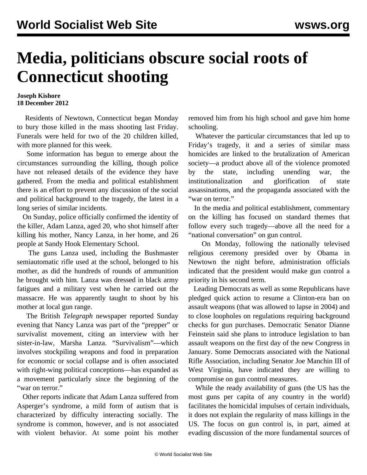## **Media, politicians obscure social roots of Connecticut shooting**

## **Joseph Kishore 18 December 2012**

 Residents of Newtown, Connecticut began Monday to bury those killed in the mass shooting last Friday. Funerals were held for two of the 20 children killed, with more planned for this week.

 Some information has begun to emerge about the circumstances surrounding the killing, though police have not released details of the evidence they have gathered. From the media and political establishment there is an effort to prevent any discussion of the social and political background to the tragedy, the latest in a long series of similar incidents.

 On Sunday, police officially confirmed the identity of the killer, Adam Lanza, aged 20, who shot himself after killing his mother, Nancy Lanza, in her home, and 26 people at Sandy Hook Elementary School.

 The guns Lanza used, including the Bushmaster semiautomatic rifle used at the school, belonged to his mother, as did the hundreds of rounds of ammunition he brought with him. Lanza was dressed in black army fatigues and a military vest when he carried out the massacre. He was apparently taught to shoot by his mother at local gun range.

 The British *Telegraph* newspaper reported Sunday evening that Nancy Lanza was part of the "prepper" or survivalist movement, citing an interview with her sister-in-law, Marsha Lanza. "Survivalism"—which involves stockpiling weapons and food in preparation for economic or social collapse and is often associated with right-wing political conceptions—has expanded as a movement particularly since the beginning of the "war on terror."

 Other reports indicate that Adam Lanza suffered from Asperger's syndrome, a mild form of autism that is characterized by difficulty interacting socially. The syndrome is common, however, and is not associated with violent behavior. At some point his mother removed him from his high school and gave him home schooling.

 Whatever the particular circumstances that led up to Friday's tragedy, it and a series of similar mass homicides are linked to the brutalization of American society—a product above all of the violence promoted by the state, including unending war, the institutionalization and glorification of state assassinations, and the propaganda associated with the "war on terror."

 In the media and political establishment, commentary on the killing has focused on standard themes that follow every such tragedy—above all the need for a "national conversation" on gun control.

 On Monday, following the nationally televised religious ceremony presided over by Obama in Newtown the night before, administration officials indicated that the president would make gun control a priority in his second term.

 Leading Democrats as well as some Republicans have pledged quick action to resume a Clinton-era ban on assault weapons (that was allowed to lapse in 2004) and to close loopholes on regulations requiring background checks for gun purchases. Democratic Senator Dianne Feinstein said she plans to introduce legislation to ban assault weapons on the first day of the new Congress in January. Some Democrats associated with the National Rifle Association, including Senator Joe Manchin III of West Virginia, have indicated they are willing to compromise on gun control measures.

 While the ready availability of guns (the US has the most guns per capita of any country in the world) facilitates the homicidal impulses of certain individuals, it does not explain the regularity of mass killings in the US. The focus on gun control is, in part, aimed at evading discussion of the more fundamental sources of